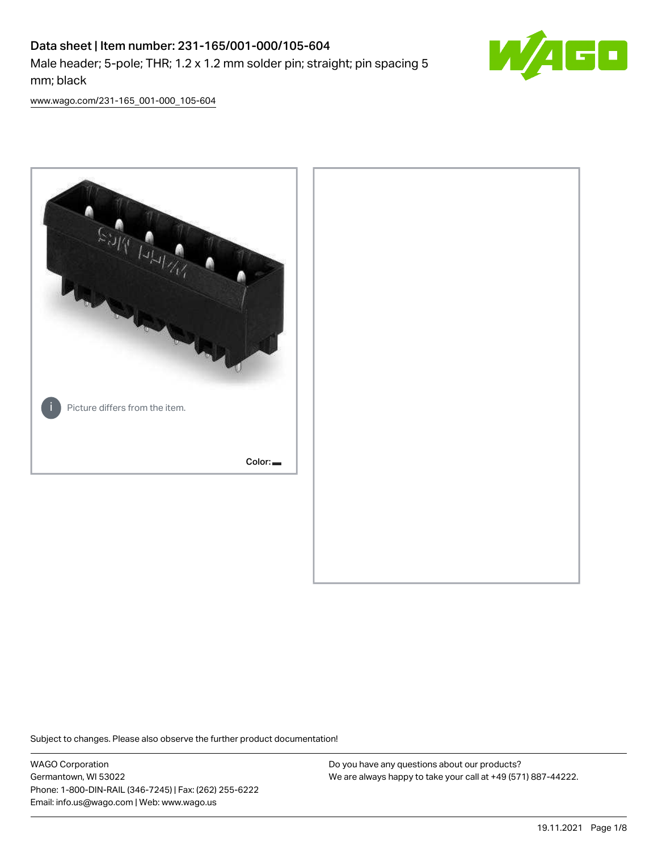# Data sheet | Item number: 231-165/001-000/105-604 Male header; 5-pole; THR; 1.2 x 1.2 mm solder pin; straight; pin spacing 5 mm; black



[www.wago.com/231-165\\_001-000\\_105-604](http://www.wago.com/231-165_001-000_105-604)



Subject to changes. Please also observe the further product documentation!

WAGO Corporation Germantown, WI 53022 Phone: 1-800-DIN-RAIL (346-7245) | Fax: (262) 255-6222 Email: info.us@wago.com | Web: www.wago.us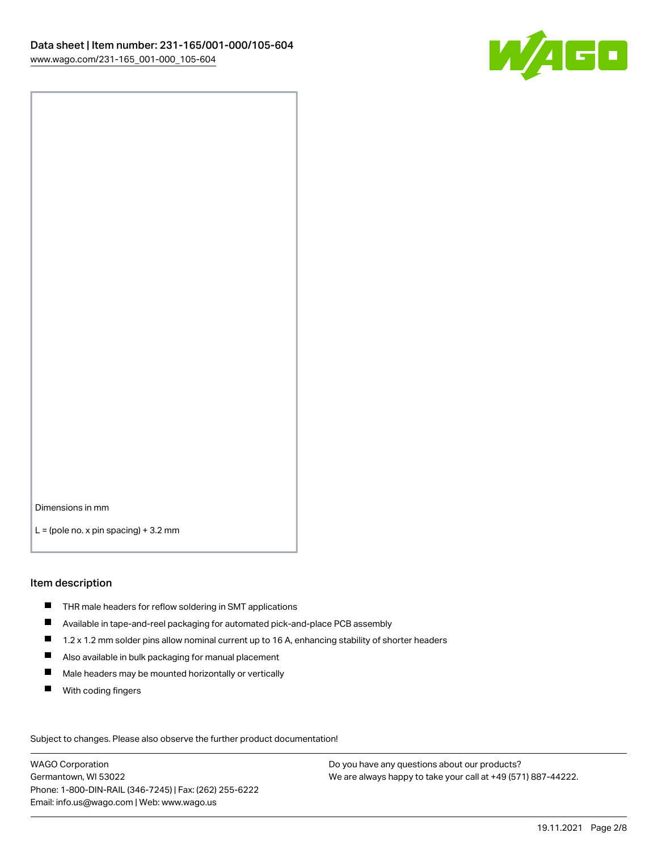

Dimensions in mm

 $L =$  (pole no. x pin spacing) + 3.2 mm

#### Item description

- THR male headers for reflow soldering in SMT applications
- Available in tape-and-reel packaging for automated pick-and-place PCB assembly
- $\blacksquare$ 1.2 x 1.2 mm solder pins allow nominal current up to 16 A, enhancing stability of shorter headers
- Also available in bulk packaging for manual placement
- $\blacksquare$ Male headers may be mounted horizontally or vertically
- $\blacksquare$ With coding fingers

Subject to changes. Please also observe the further product documentation! Data

WAGO Corporation Germantown, WI 53022 Phone: 1-800-DIN-RAIL (346-7245) | Fax: (262) 255-6222 Email: info.us@wago.com | Web: www.wago.us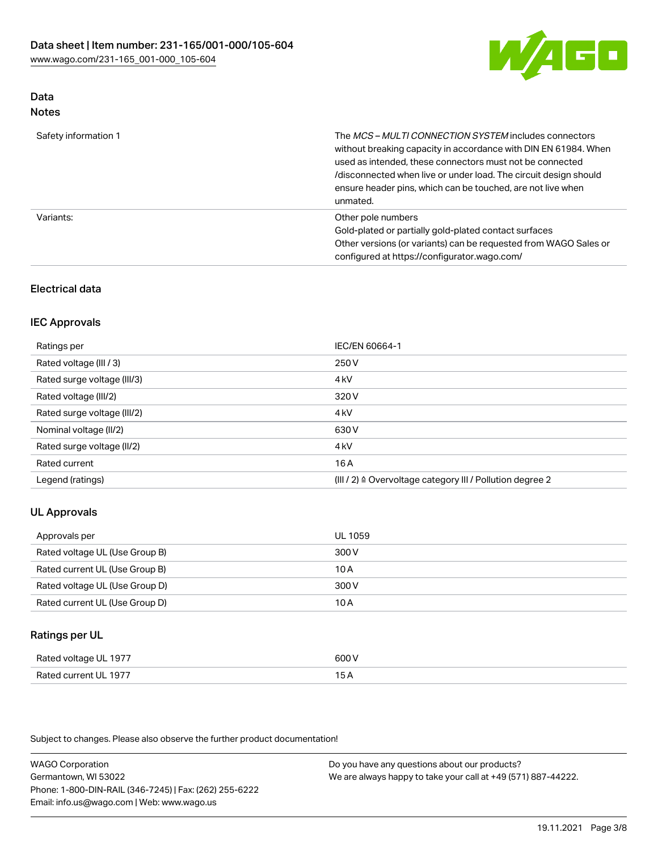

## Data Notes

| Safety information 1 | The MCS-MULTI CONNECTION SYSTEM includes connectors<br>without breaking capacity in accordance with DIN EN 61984. When<br>used as intended, these connectors must not be connected<br>/disconnected when live or under load. The circuit design should<br>ensure header pins, which can be touched, are not live when<br>unmated. |
|----------------------|-----------------------------------------------------------------------------------------------------------------------------------------------------------------------------------------------------------------------------------------------------------------------------------------------------------------------------------|
| Variants:            | Other pole numbers<br>Gold-plated or partially gold-plated contact surfaces<br>Other versions (or variants) can be requested from WAGO Sales or<br>configured at https://configurator.wago.com/                                                                                                                                   |

# Electrical data

## IEC Approvals

| Ratings per                 | IEC/EN 60664-1                                                        |
|-----------------------------|-----------------------------------------------------------------------|
| Rated voltage (III / 3)     | 250 V                                                                 |
| Rated surge voltage (III/3) | 4 <sub>k</sub> V                                                      |
| Rated voltage (III/2)       | 320 V                                                                 |
| Rated surge voltage (III/2) | 4 <sub>kV</sub>                                                       |
| Nominal voltage (II/2)      | 630 V                                                                 |
| Rated surge voltage (II/2)  | 4 <sub>k</sub> V                                                      |
| Rated current               | 16A                                                                   |
| Legend (ratings)            | $(III / 2)$ $\triangle$ Overvoltage category III / Pollution degree 2 |

## UL Approvals

| Approvals per                  | UL 1059 |
|--------------------------------|---------|
| Rated voltage UL (Use Group B) | 300 V   |
| Rated current UL (Use Group B) | 10 A    |
| Rated voltage UL (Use Group D) | 300 V   |
| Rated current UL (Use Group D) | 10 A    |

# Ratings per UL

| Rated voltage UL 1977     | coo v                                          |
|---------------------------|------------------------------------------------|
| Lcurrent UL 1977<br>Rated | ີ<br>$\sim$ $\sim$ $\sim$ $\sim$ $\sim$ $\sim$ |

Subject to changes. Please also observe the further product documentation!

WAGO Corporation Germantown, WI 53022 Phone: 1-800-DIN-RAIL (346-7245) | Fax: (262) 255-6222 Email: info.us@wago.com | Web: www.wago.us Do you have any questions about our products? We are always happy to take your call at +49 (571) 887-44222.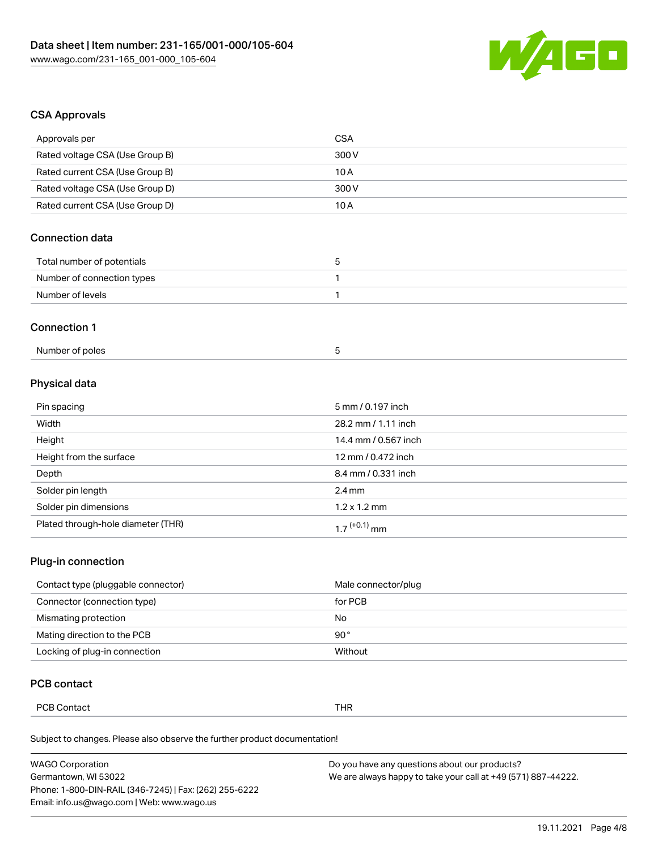

## CSA Approvals

| Approvals per                   | <b>CSA</b> |
|---------------------------------|------------|
| Rated voltage CSA (Use Group B) | 300 V      |
| Rated current CSA (Use Group B) | 10A        |
| Rated voltage CSA (Use Group D) | 300 V      |
| Rated current CSA (Use Group D) | 10A        |
| Connection data                 |            |

| Total number of potentials |  |
|----------------------------|--|
| Number of connection types |  |
| Number of levels           |  |

#### Connection 1

# Physical data

| Pin spacing                        | 5 mm / 0.197 inch        |
|------------------------------------|--------------------------|
| Width                              | 28.2 mm / 1.11 inch      |
| Height                             | 14.4 mm / 0.567 inch     |
| Height from the surface            | 12 mm / 0.472 inch       |
| Depth                              | 8.4 mm / 0.331 inch      |
| Solder pin length                  | $2.4 \text{ mm}$         |
| Solder pin dimensions              | $1.2 \times 1.2$ mm      |
| Plated through-hole diameter (THR) | 1.7 <sup>(+0.1)</sup> mm |

## Plug-in connection

| Contact type (pluggable connector) | Male connector/plug |
|------------------------------------|---------------------|
| Connector (connection type)        | for PCB             |
| Mismating protection               | No                  |
| Mating direction to the PCB        | 90°                 |
| Locking of plug-in connection      | Without             |

# PCB contact

| DCRC<br>'CB Contact | THR |
|---------------------|-----|
|---------------------|-----|

Subject to changes. Please also observe the further product documentation!

| <b>WAGO Corporation</b>                                | Do you have any questions about our products?                 |
|--------------------------------------------------------|---------------------------------------------------------------|
| Germantown, WI 53022                                   | We are always happy to take your call at +49 (571) 887-44222. |
| Phone: 1-800-DIN-RAIL (346-7245)   Fax: (262) 255-6222 |                                                               |
| Email: info.us@wago.com   Web: www.wago.us             |                                                               |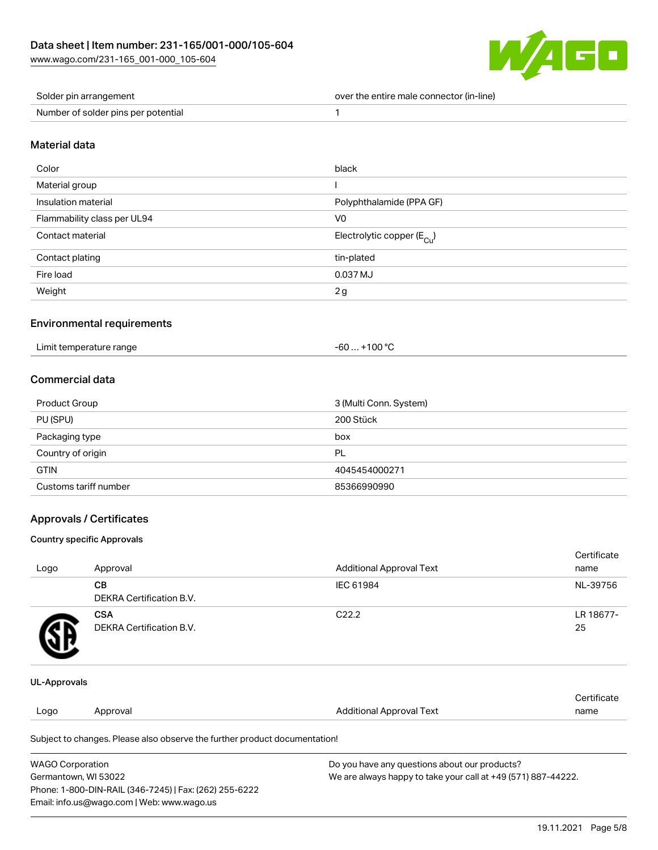

| Solder pin arrangement              | over the entire male connector (in-line) |
|-------------------------------------|------------------------------------------|
| Number of solder pins per potential |                                          |

#### Material data

| Color                       | black                                  |
|-----------------------------|----------------------------------------|
| Material group              |                                        |
| Insulation material         | Polyphthalamide (PPA GF)               |
| Flammability class per UL94 | V <sub>0</sub>                         |
| Contact material            | Electrolytic copper (E <sub>Cu</sub> ) |
| Contact plating             | tin-plated                             |
| Fire load                   | 0.037 MJ                               |
| Weight                      | 2g                                     |

#### Environmental requirements

| Limit temperature range<br>. | $+100 °C$<br>-60 |
|------------------------------|------------------|
|------------------------------|------------------|

# Commercial data

| Product Group         | 3 (Multi Conn. System) |
|-----------------------|------------------------|
| PU (SPU)              | 200 Stück              |
| Packaging type        | box                    |
| Country of origin     | PL                     |
| <b>GTIN</b>           | 4045454000271          |
| Customs tariff number | 85366990990            |

# Approvals / Certificates

#### Country specific Approvals

|                     |                                               |                                 | Certificate     |
|---------------------|-----------------------------------------------|---------------------------------|-----------------|
| Logo                | Approval                                      | <b>Additional Approval Text</b> | name            |
|                     | <b>CB</b><br><b>DEKRA Certification B.V.</b>  | IEC 61984                       | NL-39756        |
| 9Р                  | <b>CSA</b><br><b>DEKRA Certification B.V.</b> | C <sub>22.2</sub>               | LR 18677-<br>25 |
| <b>UL-Approvals</b> |                                               |                                 |                 |

|      |          |                          | ∩ertificate |
|------|----------|--------------------------|-------------|
| Logo | Approval | Additional Approval Text | name        |
|      |          |                          |             |

Subject to changes. Please also observe the further product documentation!

| <b>WAGO Corporation</b>                                | Do you have any questions about our products?                 |
|--------------------------------------------------------|---------------------------------------------------------------|
| Germantown, WI 53022                                   | We are always happy to take your call at +49 (571) 887-44222. |
| Phone: 1-800-DIN-RAIL (346-7245)   Fax: (262) 255-6222 |                                                               |
| Email: info.us@wago.com   Web: www.wago.us             |                                                               |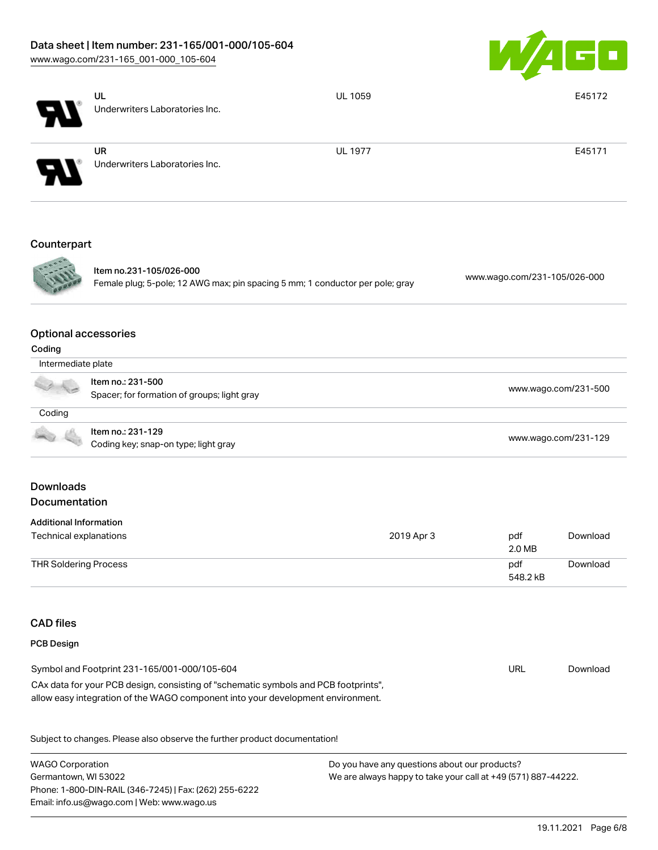# Data sheet | Item number: 231-165/001-000/105-604

[www.wago.com/231-165\\_001-000\\_105-604](http://www.wago.com/231-165_001-000_105-604)



|                                                                                                          | UL<br>Underwriters Laboratories Inc.         | UL 1059                      |                      | E45172   |
|----------------------------------------------------------------------------------------------------------|----------------------------------------------|------------------------------|----------------------|----------|
|                                                                                                          |                                              |                              |                      |          |
|                                                                                                          | <b>UR</b>                                    | <b>UL 1977</b>               |                      | E45171   |
|                                                                                                          | Underwriters Laboratories Inc.               |                              |                      |          |
| Counterpart                                                                                              |                                              |                              |                      |          |
| Item no.231-105/026-000<br>Female plug; 5-pole; 12 AWG max; pin spacing 5 mm; 1 conductor per pole; gray |                                              | www.wago.com/231-105/026-000 |                      |          |
| Coding                                                                                                   | <b>Optional accessories</b>                  |                              |                      |          |
| Intermediate plate                                                                                       |                                              |                              |                      |          |
|                                                                                                          | Item no.: 231-500                            |                              |                      |          |
|                                                                                                          | Spacer; for formation of groups; light gray  | www.wago.com/231-500         |                      |          |
| $C$ oding                                                                                                |                                              |                              |                      |          |
|                                                                                                          | Item no.: 231-129                            |                              |                      |          |
|                                                                                                          | Coding key; snap-on type; light gray         |                              | www.wago.com/231-129 |          |
| <b>Downloads</b>                                                                                         |                                              |                              |                      |          |
| Documentation                                                                                            |                                              |                              |                      |          |
| <b>Additional Information</b>                                                                            |                                              |                              |                      |          |
| Technical explanations                                                                                   |                                              | 2019 Apr 3                   | pdf<br>2.0 MB        | Download |
| <b>THR Soldering Process</b>                                                                             |                                              |                              | pdf<br>548.2 kB      | Download |
| <b>CAD files</b>                                                                                         |                                              |                              |                      |          |
| PCB Design                                                                                               |                                              |                              |                      |          |
|                                                                                                          | Symbol and Footprint 231-165/001-000/105-604 |                              | <b>URL</b>           | Download |

CAx data for your PCB design, consisting of "schematic symbols and PCB footprints", allow easy integration of the WAGO component into your development environment.

Subject to changes. Please also observe the further product documentation!

WAGO Corporation Germantown, WI 53022 Phone: 1-800-DIN-RAIL (346-7245) | Fax: (262) 255-6222 Email: info.us@wago.com | Web: www.wago.us Do you have any questions about our products? We are always happy to take your call at +49 (571) 887-44222.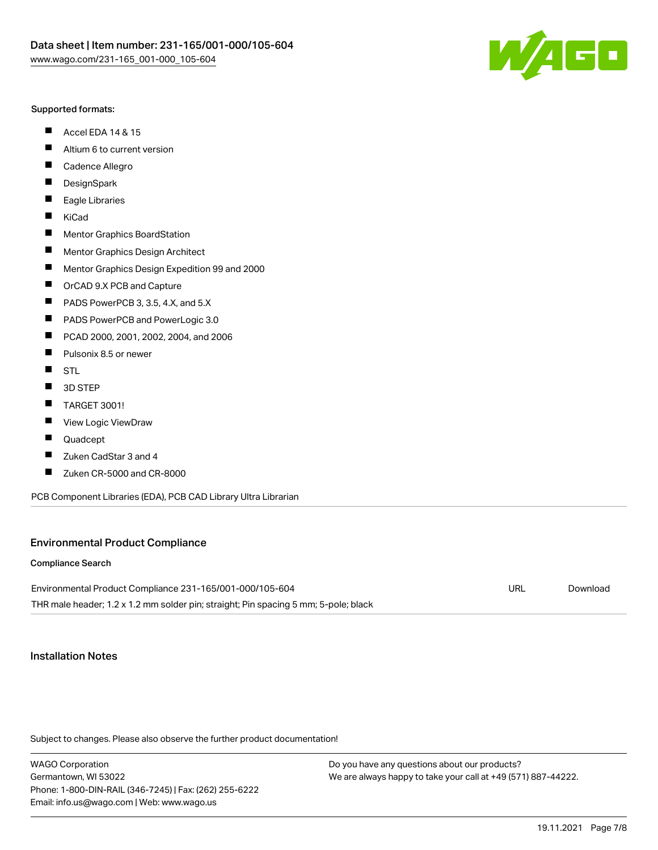

#### Supported formats:

- $\blacksquare$ Accel EDA 14 & 15
- $\blacksquare$ Altium 6 to current version
- $\blacksquare$ Cadence Allegro
- $\blacksquare$ **DesignSpark**
- $\blacksquare$ Eagle Libraries
- $\blacksquare$ KiCad
- $\blacksquare$ Mentor Graphics BoardStation
- $\blacksquare$ Mentor Graphics Design Architect
- $\blacksquare$ Mentor Graphics Design Expedition 99 and 2000
- $\blacksquare$ OrCAD 9.X PCB and Capture
- $\blacksquare$ PADS PowerPCB 3, 3.5, 4.X, and 5.X
- $\blacksquare$ PADS PowerPCB and PowerLogic 3.0
- $\blacksquare$ PCAD 2000, 2001, 2002, 2004, and 2006
- $\blacksquare$ Pulsonix 8.5 or newer
- $\blacksquare$ STL
- 3D STEP П
- П TARGET 3001!
- $\blacksquare$ View Logic ViewDraw
- П Quadcept
- $\blacksquare$ Zuken CadStar 3 and 4
- Zuken CR-5000 and CR-8000 П

PCB Component Libraries (EDA), PCB CAD Library Ultra Librarian

#### Environmental Product Compliance

#### Compliance Search

Environmental Product Compliance 231-165/001-000/105-604 THR male header; 1.2 x 1.2 mm solder pin; straight; Pin spacing 5 mm; 5-pole; black URL [Download](https://www.wago.com/global/d/ComplianceLinkMediaContainer_231-165_001-000_105-604)

## Installation Notes

Subject to changes. Please also observe the further product documentation!

WAGO Corporation Germantown, WI 53022 Phone: 1-800-DIN-RAIL (346-7245) | Fax: (262) 255-6222 Email: info.us@wago.com | Web: www.wago.us